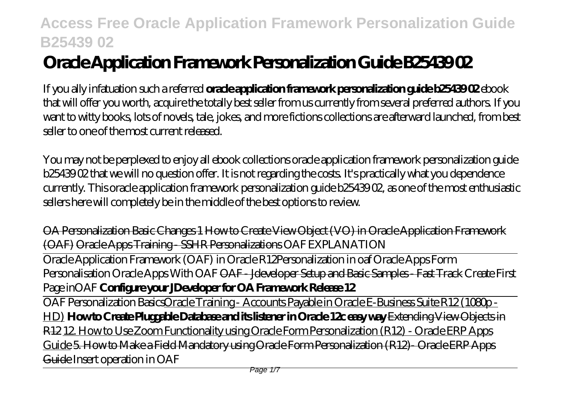# **Oracle Application Framework Personalization Guide B25439 02**

If you ally infatuation such a referred **oracle application framework personalization guide b25439 02** ebook that will offer you worth, acquire the totally best seller from us currently from several preferred authors. If you want to witty books, lots of novels, tale, jokes, and more fictions collections are afterward launched, from best seller to one of the most current released.

You may not be perplexed to enjoy all ebook collections oracle application framework personalization guide b25439 02 that we will no question offer. It is not regarding the costs. It's practically what you dependence currently. This oracle application framework personalization guide b25439 02, as one of the most enthusiastic sellers here will completely be in the middle of the best options to review.

OA Personalization Basic Changes 1 How to Create View Object (VO) in Oracle Application Framework (OAF) Oracle Apps Training - SSHR Personalizations OAF EXPLANATION

Oracle Application Framework (OAF) in Oracle R12*Personalization in oaf Oracle Apps Form Personalisation Oracle Apps With OAF* OAF - Jdeveloper Setup and Basic Samples - Fast Track *Create First Page inOAF* **Configure your JDeveloper for OA Framework Release 12**

OAF Personalization BasicsOracle Training - Accounts Payable in Oracle E-Business Suite R12 (1080p - HD) **How to Create Pluggable Database and its listener in Oracle 12c easy way** Extending View Objects in R12 12. How to Use Zoom Functionality using Oracle Form Personalization (R12) - Oracle ERP Apps Guide 5. How to Make a Field Mandatory using Oracle Form Personalization (R12)- Oracle ERP Apps Guide Insert operation in OAF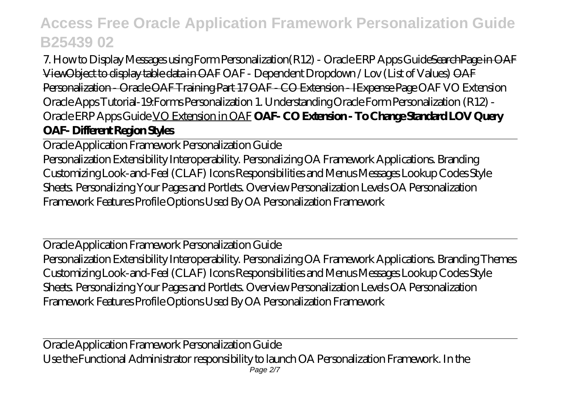7. How to Display Messages using Form Personalization (R12) - Oracle ERP Apps GuideSearchPage in OAF ViewObject to display table data in OAF *OAF - Dependent Dropdown / Lov (List of Values)* OAF Personalization - Oracle OAF Training Part 17 OAF - CO Extension - IExpense Page OAF VO Extension *Oracle Apps Tutorial-19:Forms Personalization 1. Understanding Oracle Form Personalization (R12) - Oracle ERP Apps Guide* VO Extension in OAF **OAF- CO Extension - To Change Standard LOV Query OAF- Different Region Styles**

Oracle Application Framework Personalization Guide

Personalization Extensibility Interoperability. Personalizing OA Framework Applications. Branding Customizing Look-and-Feel (CLAF) Icons Responsibilities and Menus Messages Lookup Codes Style Sheets. Personalizing Your Pages and Portlets. Overview Personalization Levels OA Personalization Framework Features Profile Options Used By OA Personalization Framework

Oracle Application Framework Personalization Guide Personalization Extensibility Interoperability. Personalizing OA Framework Applications. Branding Themes Customizing Look-and-Feel (CLAF) Icons Responsibilities and Menus Messages Lookup Codes Style Sheets. Personalizing Your Pages and Portlets. Overview Personalization Levels OA Personalization Framework Features Profile Options Used By OA Personalization Framework

Oracle Application Framework Personalization Guide Use the Functional Administrator responsibility to launch OA Personalization Framework. In the Page 2/7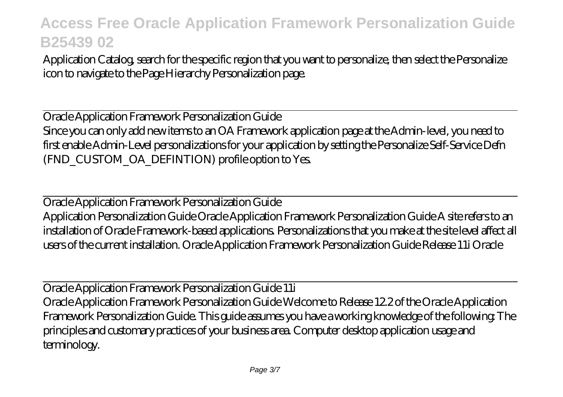Application Catalog, search for the specific region that you want to personalize, then select the Personalize icon to navigate to the Page Hierarchy Personalization page.

Oracle Application Framework Personalization Guide Since you can only add new items to an OA Framework application page at the Admin-level, you need to first enable Admin-Level personalizations for your application by setting the Personalize Self-Service Defn (FND\_CUSTOM\_OA\_DEFINTION) profile option to Yes.

Oracle Application Framework Personalization Guide

Application Personalization Guide Oracle Application Framework Personalization Guide A site refers to an installation of Oracle Framework-based applications. Personalizations that you make at the site level affect all users of the current installation. Oracle Application Framework Personalization Guide Release 11i Oracle

Oracle Application Framework Personalization Guide 11i Oracle Application Framework Personalization Guide Welcome to Release 12.2 of the Oracle Application Framework Personalization Guide. This guide assumes you have a working knowledge of the following: The principles and customary practices of your business area. Computer desktop application usage and terminology.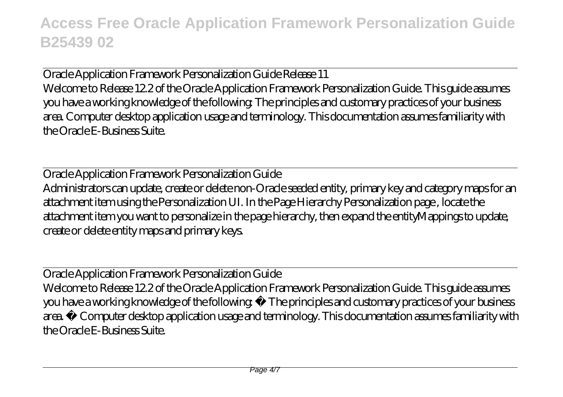Oracle Application Framework Personalization Guide Release 11 Welcome to Release 12.2 of the Oracle Application Framework Personalization Guide. This guide assumes you have a working knowledge of the following: The principles and customary practices of your business area. Computer desktop application usage and terminology. This documentation assumes familiarity with the Oracle E-Business Suite.

Oracle Application Framework Personalization Guide Administrators can update, create or delete non-Oracle seeded entity, primary key and category maps for an attachment item using the Personalization UI. In the Page Hierarchy Personalization page , locate the attachment item you want to personalize in the page hierarchy, then expand the entityMappings to update, create or delete entity maps and primary keys.

Oracle Application Framework Personalization Guide Welcome to Release 12.2 of the Oracle Application Framework Personalization Guide. This guide assumes you have a working knowledge of the following: • The principles and customary practices of your business area. • Computer desktop application usage and terminology. This documentation assumes familiarity with the Oracle E-Business Suite.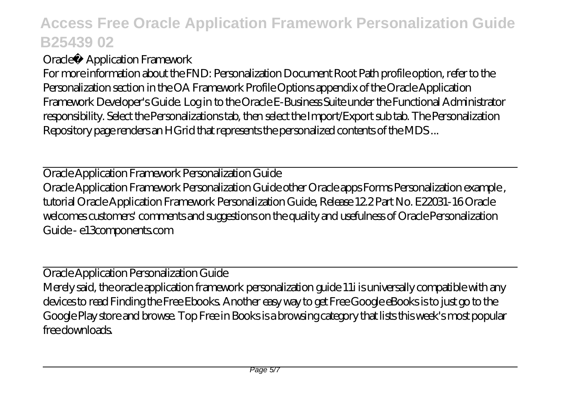#### Oracle® Application Framework

For more information about the FND: Personalization Document Root Path profile option, refer to the Personalization section in the OA Framework Profile Options appendix of the Oracle Application Framework Developer's Guide. Log in to the Oracle E-Business Suite under the Functional Administrator responsibility. Select the Personalizations tab, then select the Import/Export sub tab. The Personalization Repository page renders an HGrid that represents the personalized contents of the MDS ...

Oracle Application Framework Personalization Guide Oracle Application Framework Personalization Guide other Oracle apps Forms Personalization example , tutorial Oracle Application Framework Personalization Guide, Release 12.2 Part No. E22031-16 Oracle welcomes customers' comments and suggestions on the quality and usefulness of Oracle Personalization Guide - e13components.com

Oracle Application Personalization Guide Merely said, the oracle application framework personalization guide 11i is universally compatible with any devices to read Finding the Free Ebooks. Another easy way to get Free Google eBooks is to just go to the Google Play store and browse. Top Free in Books is a browsing category that lists this week's most popular free downloads.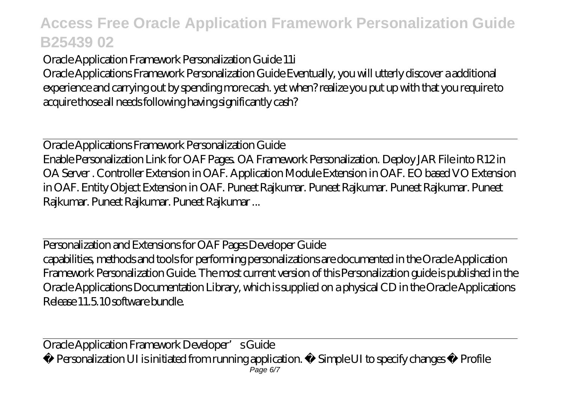Oracle Application Framework Personalization Guide 11i

Oracle Applications Framework Personalization Guide Eventually, you will utterly discover a additional experience and carrying out by spending more cash. yet when? realize you put up with that you require to acquire those all needs following having significantly cash?

Oracle Applications Framework Personalization Guide Enable Personalization Link for OAF Pages. OA Framework Personalization. Deploy JAR File into R12 in OA Server . Controller Extension in OAF. Application Module Extension in OAF. EO based VO Extension in OAF. Entity Object Extension in OAF. Puneet Rajkumar. Puneet Rajkumar. Puneet Rajkumar. Puneet Rajkumar. Puneet Rajkumar. Puneet Rajkumar ...

Personalization and Extensions for OAF Pages Developer Guide capabilities, methods and tools for performing personalizations are documented in the Oracle Application Framework Personalization Guide. The most current version of this Personalization guide is published in the Oracle Applications Documentation Library, which is supplied on a physical CD in the Oracle Applications Release 11.5.10 software bundle.

Oracle Application Framework Developer's Guide

• Personalization UI is initiated from running application. • Simple UI to specify changes • Profile